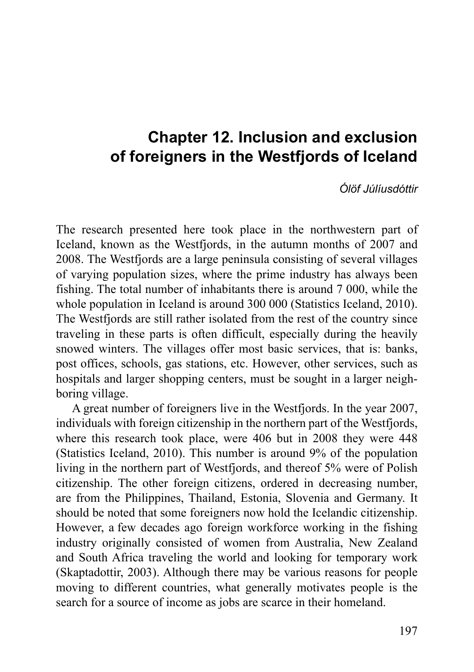# **Chapter 12. Inclusion and exclusion of foreigners in the Westfjords of Iceland**

*Ólöf Júlíusdóttir*

The research presented here took place in the northwestern part of Iceland, known as the Westfjords, in the autumn months of 2007 and 2008. The Westfjords are a large peninsula consisting of several villages of varying population sizes, where the prime industry has always been fishing. The total number of inhabitants there is around 7 000, while the whole population in Iceland is around 300 000 (Statistics Iceland, 2010). The Westfjords are still rather isolated from the rest of the country since traveling in these parts is often difficult, especially during the heavily snowed winters. The villages offer most basic services, that is: banks, post offices, schools, gas stations, etc. However, other services, such as hospitals and larger shopping centers, must be sought in a larger neighboring village.

A great number of foreigners live in the Westfjords. In the year 2007, individuals with foreign citizenship in the northern part of the Westfjords, where this research took place, were 406 but in 2008 they were 448 (Statistics Iceland, 2010). This number is around 9% of the population living in the northern part of Westfjords, and thereof 5% were of Polish citizenship. The other foreign citizens, ordered in decreasing number, are from the Philippines, Thailand, Estonia, Slovenia and Germany. It should be noted that some foreigners now hold the Icelandic citizenship. However, a few decades ago foreign workforce working in the fishing industry originally consisted of women from Australia, New Zealand and South Africa traveling the world and looking for temporary work (Skaptadottir, 2003). Although there may be various reasons for people moving to different countries, what generally motivates people is the search for a source of income as jobs are scarce in their homeland.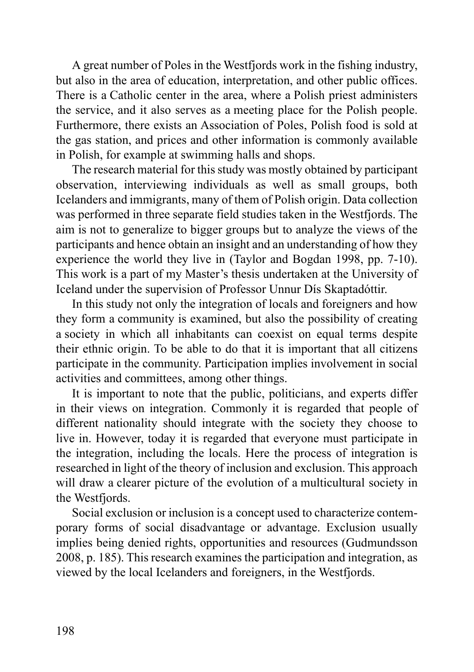A great number of Poles in the Westfjords work in the fishing industry, but also in the area of education, interpretation, and other public offices. There is a Catholic center in the area, where a Polish priest administers the service, and it also serves as a meeting place for the Polish people. Furthermore, there exists an Association of Poles, Polish food is sold at the gas station, and prices and other information is commonly available in Polish, for example at swimming halls and shops.

The research material for this study was mostly obtained by participant observation, interviewing individuals as well as small groups, both Icelanders and immigrants, many of them of Polish origin. Data collection was performed in three separate field studies taken in the Westfjords. The aim is not to generalize to bigger groups but to analyze the views of the participants and hence obtain an insight and an understanding of how they experience the world they live in (Taylor and Bogdan 1998, pp. 7-10). This work is a part of my Master's thesis undertaken at the University of Iceland under the supervision of Professor Unnur Dís Skaptadóttir.

In this study not only the integration of locals and foreigners and how they form a community is examined, but also the possibility of creating a society in which all inhabitants can coexist on equal terms despite their ethnic origin. To be able to do that it is important that all citizens participate in the community. Participation implies involvement in social activities and committees, among other things.

It is important to note that the public, politicians, and experts differ in their views on integration. Commonly it is regarded that people of different nationality should integrate with the society they choose to live in. However, today it is regarded that everyone must participate in the integration, including the locals. Here the process of integration is researched in light of the theory of inclusion and exclusion. This approach will draw a clearer picture of the evolution of a multicultural society in the Westfjords.

Social exclusion or inclusion is a concept used to characterize contemporary forms of social disadvantage or advantage. Exclusion usually implies being denied rights, opportunities and resources (Gudmundsson 2008, p. 185). This research examines the participation and integration, as viewed by the local Icelanders and foreigners, in the Westfjords.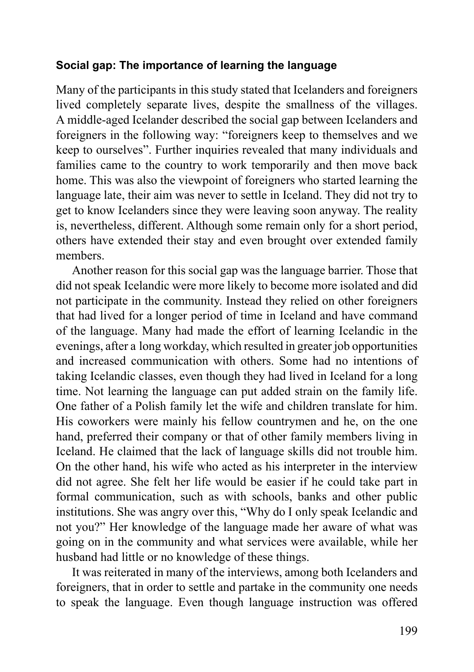#### **Social gap: The importance of learning the language**

Many of the participants in this study stated that Icelanders and foreigners lived completely separate lives, despite the smallness of the villages. A middle-aged Icelander described the social gap between Icelanders and foreigners in the following way: "foreigners keep to themselves and we keep to ourselves". Further inquiries revealed that many individuals and families came to the country to work temporarily and then move back home. This was also the viewpoint of foreigners who started learning the language late, their aim was never to settle in Iceland. They did not try to get to know Icelanders since they were leaving soon anyway. The reality is, nevertheless, different. Although some remain only for a short period, others have extended their stay and even brought over extended family members.

Another reason for this social gap was the language barrier. Those that did not speak Icelandic were more likely to become more isolated and did not participate in the community. Instead they relied on other foreigners that had lived for a longer period of time in Iceland and have command of the language. Many had made the effort of learning Icelandic in the evenings, after a long workday, which resulted in greater job opportunities and increased communication with others. Some had no intentions of taking Icelandic classes, even though they had lived in Iceland for a long time. Not learning the language can put added strain on the family life. One father of a Polish family let the wife and children translate for him. His coworkers were mainly his fellow countrymen and he, on the one hand, preferred their company or that of other family members living in Iceland. He claimed that the lack of language skills did not trouble him. On the other hand, his wife who acted as his interpreter in the interview did not agree. She felt her life would be easier if he could take part in formal communication, such as with schools, banks and other public institutions. She was angry over this, "Why do I only speak Icelandic and not you?" Her knowledge of the language made her aware of what was going on in the community and what services were available, while her husband had little or no knowledge of these things.

It was reiterated in many of the interviews, among both Icelanders and foreigners, that in order to settle and partake in the community one needs to speak the language. Even though language instruction was offered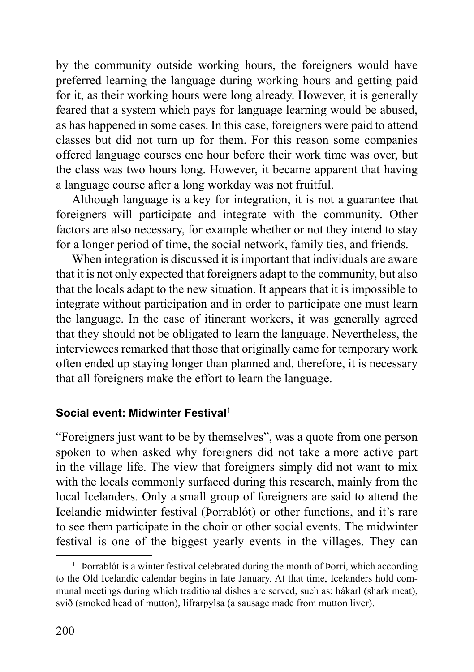by the community outside working hours, the foreigners would have preferred learning the language during working hours and getting paid for it, as their working hours were long already. However, it is generally feared that a system which pays for language learning would be abused, as has happened in some cases. In this case, foreigners were paid to attend classes but did not turn up for them. For this reason some companies offered language courses one hour before their work time was over, but the class was two hours long. However, it became apparent that having a language course after a long workday was not fruitful.

Although language is a key for integration, it is not a guarantee that foreigners will participate and integrate with the community. Other factors are also necessary, for example whether or not they intend to stay for a longer period of time, the social network, family ties, and friends.

When integration is discussed it is important that individuals are aware that it is not only expected that foreigners adapt to the community, but also that the locals adapt to the new situation. It appears that it is impossible to integrate without participation and in order to participate one must learn the language. In the case of itinerant workers, it was generally agreed that they should not be obligated to learn the language. Nevertheless, the interviewees remarked that those that originally came for temporary work often ended up staying longer than planned and, therefore, it is necessary that all foreigners make the effort to learn the language.

#### **Social event: Midwinter Festival**<sup>1</sup>

"Foreigners just want to be by themselves", was a quote from one person spoken to when asked why foreigners did not take a more active part in the village life. The view that foreigners simply did not want to mix with the locals commonly surfaced during this research, mainly from the local Icelanders. Only a small group of foreigners are said to attend the Icelandic midwinter festival (Þorrablót) or other functions, and it's rare to see them participate in the choir or other social events. The midwinter festival is one of the biggest yearly events in the villages. They can

<sup>&</sup>lt;sup>1</sup> Þorrablót is a winter festival celebrated during the month of Þorri, which according to the Old Icelandic calendar begins in late January. At that time, Icelanders hold communal meetings during which traditional dishes are served, such as: hákarl (shark meat), svið (smoked head of mutton), lifrarpylsa (a sausage made from mutton liver).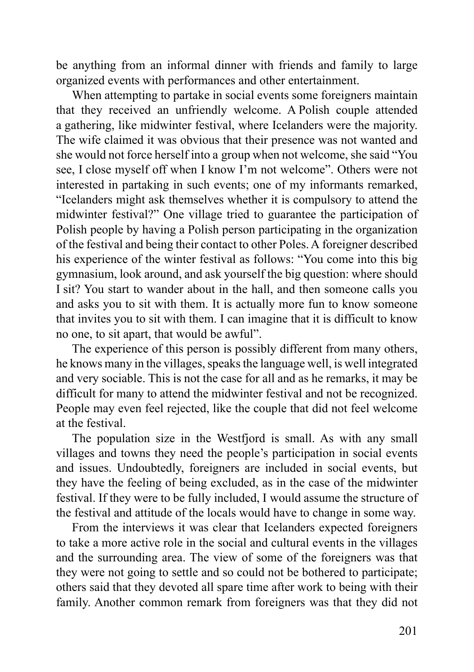be anything from an informal dinner with friends and family to large organized events with performances and other entertainment.

When attempting to partake in social events some foreigners maintain that they received an unfriendly welcome. A Polish couple attended a gathering, like midwinter festival, where Icelanders were the majority. The wife claimed it was obvious that their presence was not wanted and she would not force herself into a group when not welcome, she said "You see, I close myself off when I know I'm not welcome". Others were not interested in partaking in such events; one of my informants remarked, "Icelanders might ask themselves whether it is compulsory to attend the midwinter festival?" One village tried to guarantee the participation of Polish people by having a Polish person participating in the organization of the festival and being their contact to other Poles. A foreigner described his experience of the winter festival as follows: "You come into this big gymnasium, look around, and ask yourself the big question: where should I sit? You start to wander about in the hall, and then someone calls you and asks you to sit with them. It is actually more fun to know someone that invites you to sit with them. I can imagine that it is difficult to know no one, to sit apart, that would be awful".

The experience of this person is possibly different from many others, he knows many in the villages, speaks the language well, is well integrated and very sociable. This is not the case for all and as he remarks, it may be difficult for many to attend the midwinter festival and not be recognized. People may even feel rejected, like the couple that did not feel welcome at the festival.

The population size in the Westfjord is small. As with any small villages and towns they need the people's participation in social events and issues. Undoubtedly, foreigners are included in social events, but they have the feeling of being excluded, as in the case of the midwinter festival. If they were to be fully included, I would assume the structure of the festival and attitude of the locals would have to change in some way.

From the interviews it was clear that Icelanders expected foreigners to take a more active role in the social and cultural events in the villages and the surrounding area. The view of some of the foreigners was that they were not going to settle and so could not be bothered to participate; others said that they devoted all spare time after work to being with their family. Another common remark from foreigners was that they did not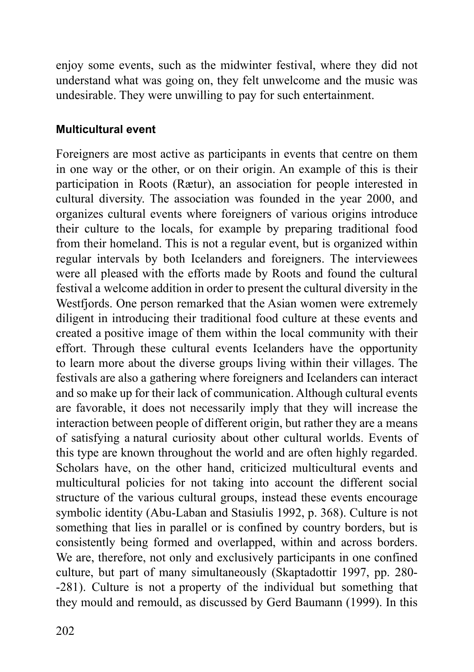enjoy some events, such as the midwinter festival, where they did not understand what was going on, they felt unwelcome and the music was undesirable. They were unwilling to pay for such entertainment.

#### **Multicultural event**

Foreigners are most active as participants in events that centre on them in one way or the other, or on their origin. An example of this is their participation in Roots (Rætur), an association for people interested in cultural diversity. The association was founded in the year 2000, and organizes cultural events where foreigners of various origins introduce their culture to the locals, for example by preparing traditional food from their homeland. This is not a regular event, but is organized within regular intervals by both Icelanders and foreigners. The interviewees were all pleased with the efforts made by Roots and found the cultural festival a welcome addition in order to present the cultural diversity in the Westfjords. One person remarked that the Asian women were extremely diligent in introducing their traditional food culture at these events and created a positive image of them within the local community with their effort. Through these cultural events Icelanders have the opportunity to learn more about the diverse groups living within their villages. The festivals are also a gathering where foreigners and Icelanders can interact and so make up for their lack of communication. Although cultural events are favorable, it does not necessarily imply that they will increase the interaction between people of different origin, but rather they are a means of satisfying a natural curiosity about other cultural worlds. Events of this type are known throughout the world and are often highly regarded. Scholars have, on the other hand, criticized multicultural events and multicultural policies for not taking into account the different social structure of the various cultural groups, instead these events encourage symbolic identity (Abu-Laban and Stasiulis 1992, p. 368). Culture is not something that lies in parallel or is confined by country borders, but is consistently being formed and overlapped, within and across borders. We are, therefore, not only and exclusively participants in one confined culture, but part of many simultaneously (Skaptadottir 1997, pp. 280- -281). Culture is not a property of the individual but something that they mould and remould, as discussed by Gerd Baumann (1999). In this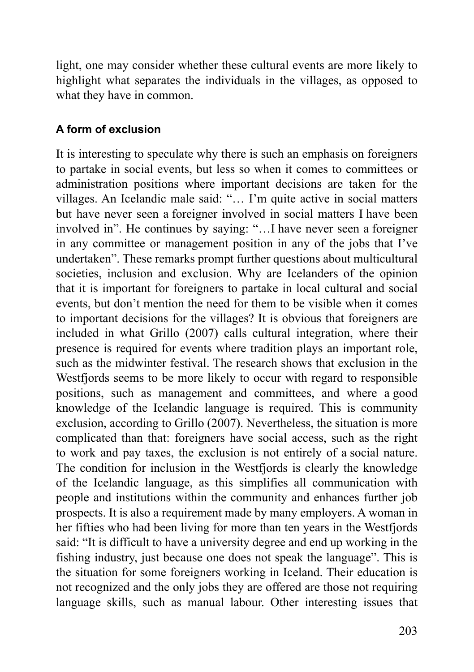light, one may consider whether these cultural events are more likely to highlight what separates the individuals in the villages, as opposed to what they have in common.

## **A form of exclusion**

It is interesting to speculate why there is such an emphasis on foreigners to partake in social events, but less so when it comes to committees or administration positions where important decisions are taken for the villages. An Icelandic male said: "… I'm quite active in social matters but have never seen a foreigner involved in social matters I have been involved in". He continues by saying: "…I have never seen a foreigner in any committee or management position in any of the jobs that I've undertaken". These remarks prompt further questions about multicultural societies, inclusion and exclusion. Why are Icelanders of the opinion that it is important for foreigners to partake in local cultural and social events, but don't mention the need for them to be visible when it comes to important decisions for the villages? It is obvious that foreigners are included in what Grillo (2007) calls cultural integration, where their presence is required for events where tradition plays an important role, such as the midwinter festival. The research shows that exclusion in the Westfjords seems to be more likely to occur with regard to responsible positions, such as management and committees, and where a good knowledge of the Icelandic language is required. This is community exclusion, according to Grillo (2007). Nevertheless, the situation is more complicated than that: foreigners have social access, such as the right to work and pay taxes, the exclusion is not entirely of a social nature. The condition for inclusion in the Westfjords is clearly the knowledge of the Icelandic language, as this simplifies all communication with people and institutions within the community and enhances further job prospects. It is also a requirement made by many employers. A woman in her fifties who had been living for more than ten years in the Westfjords said: "It is difficult to have a university degree and end up working in the fishing industry, just because one does not speak the language". This is the situation for some foreigners working in Iceland. Their education is not recognized and the only jobs they are offered are those not requiring language skills, such as manual labour. Other interesting issues that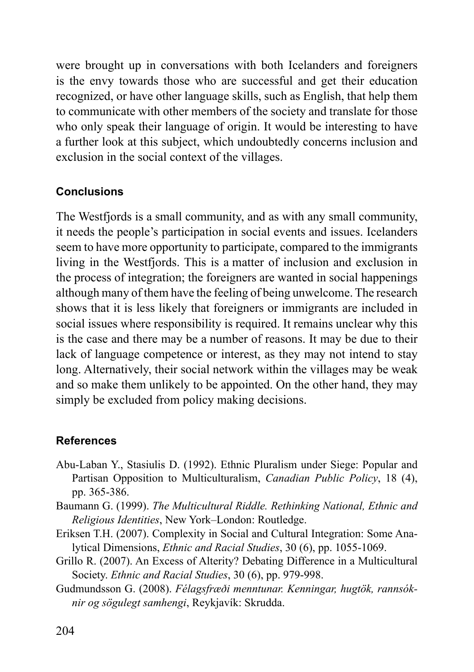were brought up in conversations with both Icelanders and foreigners is the envy towards those who are successful and get their education recognized, or have other language skills, such as English, that help them to communicate with other members of the society and translate for those who only speak their language of origin. It would be interesting to have a further look at this subject, which undoubtedly concerns inclusion and exclusion in the social context of the villages.

### **Conclusions**

The Westfjords is a small community, and as with any small community, it needs the people's participation in social events and issues. Icelanders seem to have more opportunity to participate, compared to the immigrants living in the Westfjords. This is a matter of inclusion and exclusion in the process of integration; the foreigners are wanted in social happenings although many of them have the feeling of being unwelcome. The research shows that it is less likely that foreigners or immigrants are included in social issues where responsibility is required. It remains unclear why this is the case and there may be a number of reasons. It may be due to their lack of language competence or interest, as they may not intend to stay long. Alternatively, their social network within the villages may be weak and so make them unlikely to be appointed. On the other hand, they may simply be excluded from policy making decisions.

### **References**

- Abu-Laban Y., Stasiulis D. (1992). Ethnic Pluralism under Siege: Popular and Partisan Opposition to Multiculturalism, *Canadian Public Policy*, 18 (4), pp. 365-386.
- Baumann G. (1999). *The Multicultural Riddle. Rethinking National, Ethnic and Religious Identities*, New York–London: Routledge.
- Eriksen T.H. (2007). Complexity in Social and Cultural Integration: Some Analytical Dimensions, *Ethnic and Racial Studies*, 30 (6), pp. 1055-1069.
- Grillo R. (2007). An Excess of Alterity? Debating Difference in a Multicultural Society. *Ethnic and Racial Studies*, 30 (6), pp. 979-998.
- Gudmundsson G. (2008). *Félagsfræði menntunar. Kenningar, hugtök, rannsóknir og sögulegt samhengi*, Reykjavík: Skrudda.